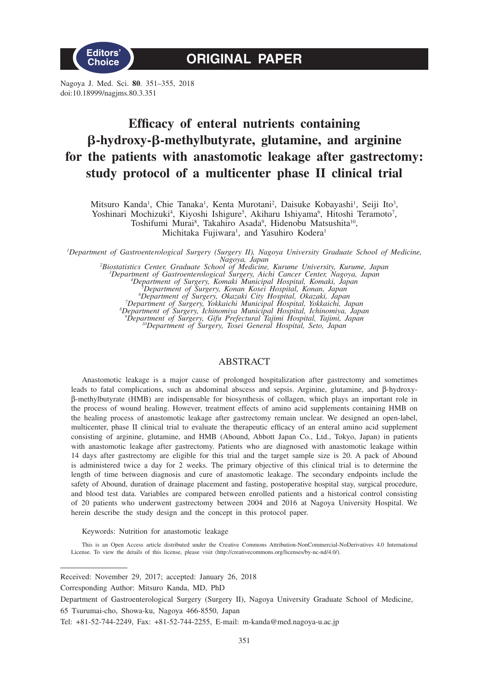

Nagoya J. Med. Sci. **80**. 351–355, 2018 doi:10.18999/nagjms.80.3.351

# **Efficacy of enteral nutrients containing -hydroxy--methylbutyrate, glutamine, and arginine for the patients with anastomotic leakage after gastrectomy: study protocol of a multicenter phase II clinical trial**

Mitsuro Kanda<sup>1</sup>, Chie Tanaka<sup>1</sup>, Kenta Murotani<sup>2</sup>, Daisuke Kobayashi<sup>1</sup>, Seiji Ito<sup>3</sup>, Yoshinari Mochizuki<sup>4</sup>, Kiyoshi Ishigure<sup>5</sup>, Akiharu Ishiyama<sup>6</sup>, Hitoshi Teramoto<sup>7</sup>, Toshifumi Murai<sup>8</sup>, Takahiro Asada<sup>9</sup>, Hidenobu Matsushita<sup>10</sup>, Michitaka Fujiwara<sup>1</sup>, and Yasuhiro Kodera<sup>1</sup>

*1 Department of Gastroenterological Surgery (Surgery II), Nagoya University Graduate School of Medicine, Nagoya, Japan*<br>
<sup>2</sup> *Biostatistics Center, Graduate School of Medicine, Kurume University, Kurume, Japan<sup>3</sup><br>
<sup>3</sup> Department of Surgery, <i>Zomaki Municipal Hospital Komaki Japan*<br>
<sup>4</sup> Department of Surgery *Komaki Municipal* 

*Department of Surgery, Komaki Municipal Hospital, Komaki, Japan <sup>5</sup>*

*Department of Surgery, Konan Kosei Hospital, Konan, Japan <sup>6</sup>*

"Department of Surgery, Okazaki City Hospital, Okazaki, Japan<br>"Department of Surgery, Yokkaichi Municipal Hospital, Yokkaichi, Japan<br>"Department of Surgery, Ichinomiya Municipal Hospital, Ichinomiya, Japan<br>"Department of S

# ABSTRACT

Anastomotic leakage is a major cause of prolonged hospitalization after gastrectomy and sometimes leads to fatal complications, such as abdominal abscess and sepsis. Arginine, glutamine, and b-hydroxyb-methylbutyrate (HMB) are indispensable for biosynthesis of collagen, which plays an important role in the process of wound healing. However, treatment effects of amino acid supplements containing HMB on the healing process of anastomotic leakage after gastrectomy remain unclear. We designed an open-label, multicenter, phase II clinical trial to evaluate the therapeutic efficacy of an enteral amino acid supplement consisting of arginine, glutamine, and HMB (Abound, Abbott Japan Co., Ltd., Tokyo, Japan) in patients with anastomotic leakage after gastrectomy. Patients who are diagnosed with anastomotic leakage within 14 days after gastrectomy are eligible for this trial and the target sample size is 20. A pack of Abound is administered twice a day for 2 weeks. The primary objective of this clinical trial is to determine the length of time between diagnosis and cure of anastomotic leakage. The secondary endpoints include the safety of Abound, duration of drainage placement and fasting, postoperative hospital stay, surgical procedure, and blood test data. Variables are compared between enrolled patients and a historical control consisting of 20 patients who underwent gastrectomy between 2004 and 2016 at Nagoya University Hospital. We herein describe the study design and the concept in this protocol paper.

Keywords: Nutrition for anastomotic leakage

This is an Open Access article distributed under the Creative Commons Attribution-NonCommercial-NoDerivatives 4.0 International License. To view the details of this license, please visit (http://creativecommons.org/licenses/by-nc-nd/4.0/).

Corresponding Author: Mitsuro Kanda, MD, PhD

Received: November 29, 2017; accepted: January 26, 2018

Department of Gastroenterological Surgery (Surgery II), Nagoya University Graduate School of Medicine, 65 Tsurumai-cho, Showa-ku, Nagoya 466-8550, Japan

Tel: +81-52-744-2249, Fax: +81-52-744-2255, E-mail: m-kanda@med.nagoya-u.ac.jp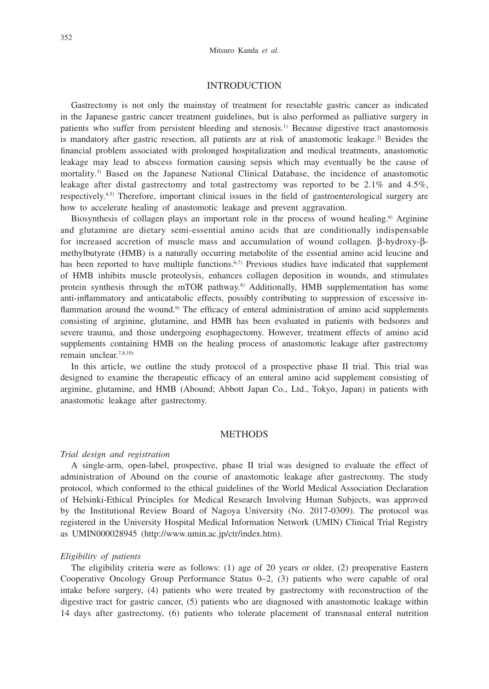## INTRODUCTION

Gastrectomy is not only the mainstay of treatment for resectable gastric cancer as indicated in the Japanese gastric cancer treatment guidelines, but is also performed as palliative surgery in patients who suffer from persistent bleeding and stenosis.1) Because digestive tract anastomosis is mandatory after gastric resection, all patients are at risk of anastomotic leakage.<sup>2)</sup> Besides the financial problem associated with prolonged hospitalization and medical treatments, anastomotic leakage may lead to abscess formation causing sepsis which may eventually be the cause of mortality.3) Based on the Japanese National Clinical Database, the incidence of anastomotic leakage after distal gastrectomy and total gastrectomy was reported to be 2.1% and 4.5%, respectively.4,5) Therefore, important clinical issues in the field of gastroenterological surgery are how to accelerate healing of anastomotic leakage and prevent aggravation.

Biosynthesis of collagen plays an important role in the process of wound healing.<sup>6</sup> Arginine and glutamine are dietary semi-essential amino acids that are conditionally indispensable for increased accretion of muscle mass and accumulation of wound collagen.  $\beta$ -hydroxy- $\beta$ methylbutyrate (HMB) is a naturally occurring metabolite of the essential amino acid leucine and has been reported to have multiple functions.<sup>6,7)</sup> Previous studies have indicated that supplement of HMB inhibits muscle proteolysis, enhances collagen deposition in wounds, and stimulates protein synthesis through the mTOR pathway.<sup>8)</sup> Additionally, HMB supplementation has some anti-inflammatory and anticatabolic effects, possibly contributing to suppression of excessive inflammation around the wound.<sup>9)</sup> The efficacy of enteral administration of amino acid supplements consisting of arginine, glutamine, and HMB has been evaluated in patients with bedsores and severe trauma, and those undergoing esophagectomy. However, treatment effects of amino acid supplements containing HMB on the healing process of anastomotic leakage after gastrectomy remain unclear.7,8,10)

In this article, we outline the study protocol of a prospective phase II trial. This trial was designed to examine the therapeutic efficacy of an enteral amino acid supplement consisting of arginine, glutamine, and HMB (Abound; Abbott Japan Co., Ltd., Tokyo, Japan) in patients with anastomotic leakage after gastrectomy.

## **METHODS**

#### *Trial design and registration*

A single-arm, open-label, prospective, phase II trial was designed to evaluate the effect of administration of Abound on the course of anastomotic leakage after gastrectomy. The study protocol, which conformed to the ethical guidelines of the World Medical Association Declaration of Helsinki-Ethical Principles for Medical Research Involving Human Subjects, was approved by the Institutional Review Board of Nagoya University (No. 2017-0309). The protocol was registered in the University Hospital Medical Information Network (UMIN) Clinical Trial Registry as UMIN000028945 (http://www.umin.ac.jp/ctr/index.htm).

#### *Eligibility of patients*

The eligibility criteria were as follows: (1) age of 20 years or older, (2) preoperative Eastern Cooperative Oncology Group Performance Status 0–2, (3) patients who were capable of oral intake before surgery, (4) patients who were treated by gastrectomy with reconstruction of the digestive tract for gastric cancer, (5) patients who are diagnosed with anastomotic leakage within 14 days after gastrectomy, (6) patients who tolerate placement of transnasal enteral nutrition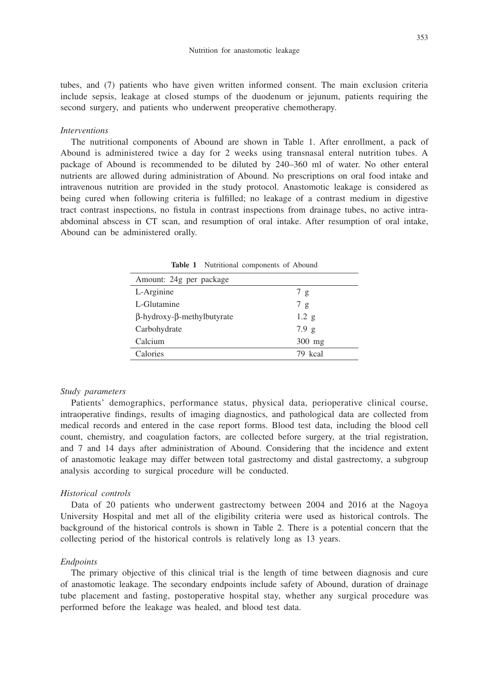tubes, and (7) patients who have given written informed consent. The main exclusion criteria include sepsis, leakage at closed stumps of the duodenum or jejunum, patients requiring the second surgery, and patients who underwent preoperative chemotherapy.

#### *Interventions*

The nutritional components of Abound are shown in Table 1. After enrollment, a pack of Abound is administered twice a day for 2 weeks using transnasal enteral nutrition tubes. A package of Abound is recommended to be diluted by 240–360 ml of water. No other enteral nutrients are allowed during administration of Abound. No prescriptions on oral food intake and intravenous nutrition are provided in the study protocol. Anastomotic leakage is considered as being cured when following criteria is fulfilled; no leakage of a contrast medium in digestive tract contrast inspections, no fistula in contrast inspections from drainage tubes, no active intraabdominal abscess in CT scan, and resumption of oral intake. After resumption of oral intake, Abound can be administered orally.

| Amount: 24g per package                   |          |
|-------------------------------------------|----------|
| L-Arginine                                | 7 g      |
| L-Glutamine                               | 7 g      |
| $\beta$ -hydroxy- $\beta$ -methylbutyrate | 1.2 g    |
| Carbohydrate                              | 7.9 g    |
| Calcium                                   | $300$ mg |
| Calories                                  | 79 kcal  |

**Table 1** Nutritional components of Abound

#### *Study parameters*

Patients' demographics, performance status, physical data, perioperative clinical course, intraoperative findings, results of imaging diagnostics, and pathological data are collected from medical records and entered in the case report forms. Blood test data, including the blood cell count, chemistry, and coagulation factors, are collected before surgery, at the trial registration, and 7 and 14 days after administration of Abound. Considering that the incidence and extent of anastomotic leakage may differ between total gastrectomy and distal gastrectomy, a subgroup analysis according to surgical procedure will be conducted.

#### *Historical controls*

Data of 20 patients who underwent gastrectomy between 2004 and 2016 at the Nagoya University Hospital and met all of the eligibility criteria were used as historical controls. The background of the historical controls is shown in Table 2. There is a potential concern that the collecting period of the historical controls is relatively long as 13 years.

#### *Endpoints*

The primary objective of this clinical trial is the length of time between diagnosis and cure of anastomotic leakage. The secondary endpoints include safety of Abound, duration of drainage tube placement and fasting, postoperative hospital stay, whether any surgical procedure was performed before the leakage was healed, and blood test data.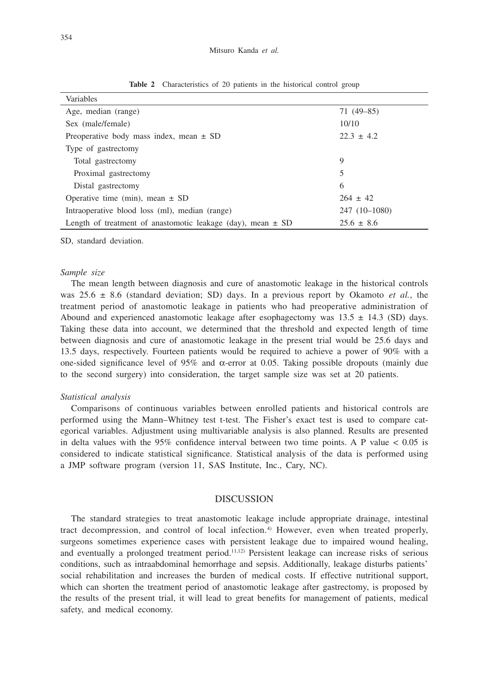| Variables                                                       |                |
|-----------------------------------------------------------------|----------------|
| Age, median (range)                                             | $71(49-85)$    |
| Sex (male/female)                                               | 10/10          |
| Preoperative body mass index, mean $\pm$ SD                     | $22.3 \pm 4.2$ |
| Type of gastrectomy                                             |                |
| Total gastrectomy                                               | 9              |
| Proximal gastrectomy                                            | 5              |
| Distal gastrectomy                                              | 6              |
| Operative time (min), mean $\pm$ SD                             | $264 \pm 42$   |
| Intraoperative blood loss (ml), median (range)                  | 247 (10-1080)  |
| Length of treatment of anastomotic leakage (day), mean $\pm$ SD | $25.6 \pm 8.6$ |

**Table 2** Characteristics of 20 patients in the historical control group

SD, standard deviation.

#### *Sample size*

The mean length between diagnosis and cure of anastomotic leakage in the historical controls was  $25.6 \pm 8.6$  (standard deviation; SD) days. In a previous report by Okamoto *et al.*, the treatment period of anastomotic leakage in patients who had preoperative administration of Abound and experienced anastomotic leakage after esophagectomy was  $13.5 \pm 14.3$  (SD) days. Taking these data into account, we determined that the threshold and expected length of time between diagnosis and cure of anastomotic leakage in the present trial would be 25.6 days and 13.5 days, respectively. Fourteen patients would be required to achieve a power of 90% with a one-sided significance level of 95% and  $\alpha$ -error at 0.05. Taking possible dropouts (mainly due to the second surgery) into consideration, the target sample size was set at 20 patients.

#### *Statistical analysis*

Comparisons of continuous variables between enrolled patients and historical controls are performed using the Mann–Whitney test t-test. The Fisher's exact test is used to compare categorical variables. Adjustment using multivariable analysis is also planned. Results are presented in delta values with the  $95\%$  confidence interval between two time points. A P value  $< 0.05$  is considered to indicate statistical significance. Statistical analysis of the data is performed using a JMP software program (version 11, SAS Institute, Inc., Cary, NC).

### **DISCUSSION**

The standard strategies to treat anastomotic leakage include appropriate drainage, intestinal tract decompression, and control of local infection.<sup>4)</sup> However, even when treated properly, surgeons sometimes experience cases with persistent leakage due to impaired wound healing, and eventually a prolonged treatment period.<sup>11,12</sup> Persistent leakage can increase risks of serious conditions, such as intraabdominal hemorrhage and sepsis. Additionally, leakage disturbs patients' social rehabilitation and increases the burden of medical costs. If effective nutritional support, which can shorten the treatment period of anastomotic leakage after gastrectomy, is proposed by the results of the present trial, it will lead to great benefits for management of patients, medical safety, and medical economy.